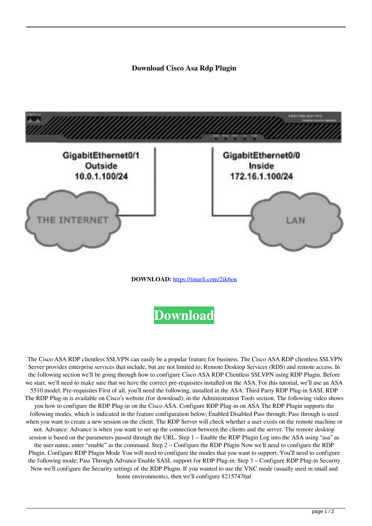**Download Cisco Asa Rdp Plugin**



**DOWNLOAD:** <https://tinurli.com/2ik6on>



 The Cisco ASA RDP clientless SSLVPN can easily be a popular feature for business. The Cisco ASA RDP clientless SSLVPN Server provides enterprise services that include, but are not limited to; Remote Desktop Services (RDS) and remote access. In the following section we'll be going through how to configure Cisco ASA RDP Clientless SSLVPN using RDP Plugin. Before we start, we'll need to make sure that we have the correct pre-requisites installed on the ASA. For this tutorial, we'll use an ASA 5510 model. Pre-requisites First of all, you'll need the following, installed in the ASA: Third Party RDP Plug-in SASL RDP The RDP Plug-in is available on Cisco's website (for download); in the Administration Tools section. The following video shows you how to configure the RDP Plug-in on the Cisco ASA. Configure RDP Plug-in on ASA The RDP Plugin supports the following modes, which is indicated in the feature configuration below; Enabled Disabled Pass through: Pass through is used when you want to create a new session on the client. The RDP Server will check whether a user exists on the remote machine or not. Advance: Advance is when you want to set up the connection between the clients and the server. The remote desktop session is based on the parameters passed through the URL. Step 1 – Enable the RDP Plugin Log into the ASA using "asa" as the user name, enter "enable" as the command. Step 2 – Configure the RDP Plugin Now we'll need to configure the RDP Plugin. Configure RDP Plugin Mode You will need to configure the modes that you want to support. You'll need to configure the following mode; Pass Through Advance Enable SASL support for RDP Plug-in: Step 3 – Configure RDP Plug-in Security Now we'll configure the Security settings of the RDP Plugin. If you wanted to use the VNC mode (usually used in small and home environments), then we'll configure 82157476af